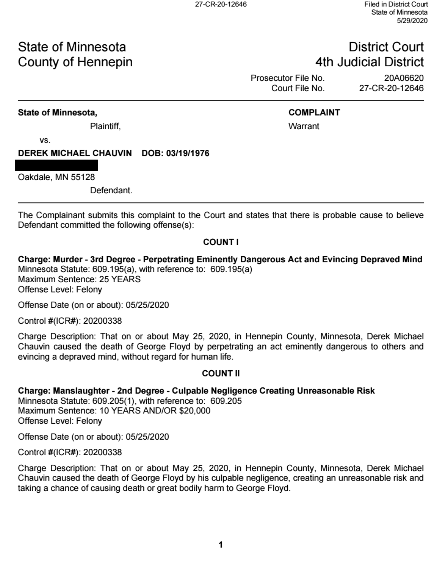# State of Minnesota County of Hennepin

# **District Court 4th Judicial District**

Prosecutor File No. 20A06620 Court File No. 27-CR-20-12646

## State of Minnesota,

## **COMPLAINT**

Plaintiff,

Warrant

VS.

DEREK MICHAEL CHAUVIN DOB: 03/19/1976

Oakdale, MN 55128

Defendant.

The Complainant submits this complaint to the Court and states that there is probable cause to believe Defendant committed the following offense(s):

## **COUNTI**

Charge: Murder - 3rd Degree - Perpetrating Eminently Dangerous Act and Evincing Depraved Mind Minnesota Statute: 609.195(a), with reference to: 609.195(a) Maximum Sentence: 25 YEARS Offense Level: Felony

Offense Date (on or about): 05/25/2020

Control #(ICR#): 20200338

Charge Description: That on or about May 25, 2020, in Hennepin County, Minnesota, Derek Michael Chauvin caused the death of George Floyd by perpetrating an act eminently dangerous to others and evincing a depraved mind, without regard for human life.

## **COUNT II**

## Charge: Manslaughter - 2nd Degree - Culpable Negligence Creating Unreasonable Risk

Minnesota Statute: 609.205(1), with reference to: 609.205 Maximum Sentence: 10 YEARS AND/OR \$20,000 Offense Level: Felony

Offense Date (on or about): 05/25/2020

Control #(ICR#): 20200338

Charge Description: That on or about May 25, 2020, in Hennepin County, Minnesota, Derek Michael Chauvin caused the death of George Floyd by his culpable negligence, creating an unreasonable risk and taking a chance of causing death or great bodily harm to George Floyd.

1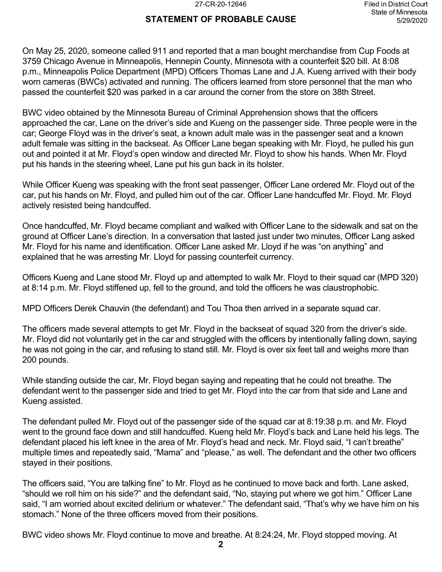### **STATEMENT OF PROBABLE CAUSE**

On May 25, 2020, someone called 911 and reported that a man bought merchandise from Cup Foods at 3759 Chicago Avenue in Minneapolis, Hennepin County, Minnesota with a counterfeit \$20 bill. At 8:08 p.m., Minneapolis Police Department (MPD) Officers Thomas Lane and J.A. Kueng arrived with their body worn cameras (BWCs) activated and running. The officers learned from store personnel that the man who passed the counterfeit \$20 was parked in a car around the corner from the store on 38th Street.

BWC video obtained by the Minnesota Bureau of Criminal Apprehension shows that the officers approached the car, Lane on the driver's side and Kueng on the passenger side. Three people were in the car; George Floyd was in the driver's seat, a known adult male was in the passenger seat and a known adult female was sitting in the backseat. As Officer Lane began speaking with Mr. Floyd, he pulled his gun out and pointed it at Mr. Floyd's open window and directed Mr. Floyd to show his hands. When Mr. Floyd put his hands in the steering wheel, Lane put his gun back in its holster.

While Officer Kueng was speaking with the front seat passenger, Officer Lane ordered Mr. Floyd out of the car, put his hands on Mr. Floyd, and pulled him out of the car. Officer Lane handcuffed Mr. Floyd. Mr. Floyd actively resisted being handcuffed.

Once handcuffed, Mr. Floyd became compliant and walked with Officer Lane to the sidewalk and sat on the ground at Officer Lane's direction. In a conversation that lasted just under two minutes, Officer Lang asked Mr. Floyd for his name and identification. Officer Lane asked Mr. Lloyd if he was "on anything" and explained that he was arresting Mr. Lloyd for passing counterfeit currency.

Officers Kueng and Lane stood Mr. Floyd up and attempted to walk Mr. Floyd to their squad car (MPD 320) at 8:14 p.m. Mr. Floyd stiffened up, fell to the ground, and told the officers he was claustrophobic.

MPD Officers Derek Chauvin (the defendant) and Tou Thoa then arrived in a separate squad car.

The officers made several attempts to get Mr. Floyd in the backseat of squad 320 from the driver's side. Mr. Floyd did not voluntarily get in the car and struggled with the officers by intentionally falling down, saying he was not going in the car, and refusing to stand still. Mr. Floyd is over six feet tall and weighs more than 200 pounds.

While standing outside the car, Mr. Floyd began saying and repeating that he could not breathe. The defendant went to the passenger side and tried to get Mr. Floyd into the car from that side and Lane and Kueng assisted.

The defendant pulled Mr. Floyd out of the passenger side of the squad car at 8:19:38 p.m. and Mr. Floyd went to the ground face down and still handcuffed. Kueng held Mr. Floyd's back and Lane held his legs. The defendant placed his left knee in the area of Mr. Floyd's head and neck. Mr. Floyd said, "I can't breathe" multiple times and repeatedly said, "Mama" and "please," as well. The defendant and the other two officers stayed in their positions.

The officers said, "You are talking fine" to Mr. Floyd as he continued to move back and forth. Lane asked, "should we roll him on his side?" and the defendant said, "No, staying put where we got him." Officer Lane said, "I am worried about excited delirium or whatever." The defendant said, "That's why we have him on his stomach." None of the three officers moved from their positions.

BWC video shows Mr. Floyd continue to move and breathe. At 8:24:24, Mr. Floyd stopped moving. At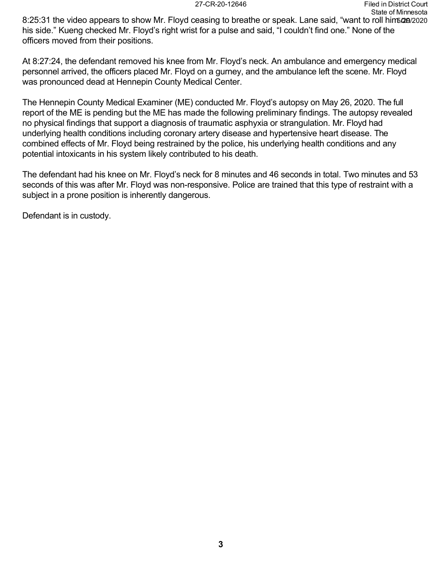8:25:31 the video appears to show Mr. Floyd ceasing to breathe or speak. Lane said, "want to roll him5@0/2020 his side." Kueng checked Mr. Floyd's right wrist for a pulse and said, "I couldn't find one." None of the officers moved from their positions.

At 8:27:24, the defendant removed his knee from Mr. Floyd's neck. An ambulance and emergency medical personnel arrived, the officers placed Mr. Floyd on a gurney, and the ambulance left the scene. Mr. Floyd was pronounced dead at Hennepin County Medical Center.

The Hennepin County Medical Examiner (ME) conducted Mr. Floyd's autopsy on May 26, 2020. The full report of the ME is pending but the ME has made the following preliminary findings. The autopsy revealed no physical findings that support a diagnosis of traumatic asphyxia or strangulation. Mr. Floyd had underlying health conditions including coronary artery disease and hypertensive heart disease. The combined effects of Mr. Floyd being restrained by the police, his underlying health conditions and any potential intoxicants in his system likely contributed to his death.

The defendant had his knee on Mr. Floyd's neck for 8 minutes and 46 seconds in total. Two minutes and 53 seconds of this was after Mr. Floyd was non-responsive. Police are trained that this type of restraint with a subject in a prone position is inherently dangerous.

Defendant is in custody.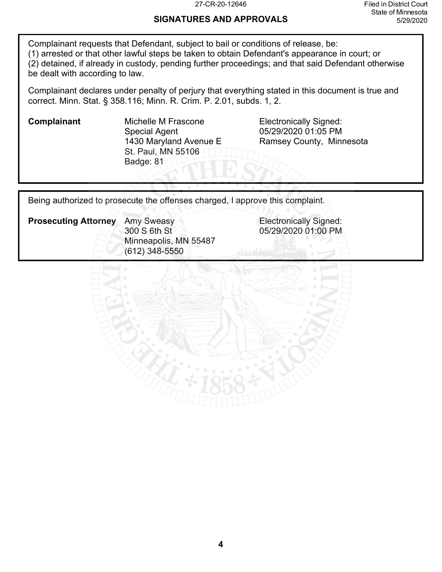#### 27-CR-20-12646 Filed in District Court State of Minnesota 5/29/2020

### **SIGNATURES AND APPROVALS**

Complainant requests that Defendant, subject to bail or conditions of release, be: (1) arrested or that other lawful steps be taken to obtain Defendant's appearance in court; or (2) detained, if already in custody, pending further proceedings; and that said Defendant otherwise be dealt with according to law.

Complainant declares under penalty of perjury that everything stated in this document is true and correct. Minn. Stat. § 358.116; Minn. R. Crim. P. 2.01, subds. 1, 2.

**Complainant** Michelle M Frascone Electronically Signed: Special Agent 1430 Maryland Avenue E St. Paul, MN 55106 Badge: 81

05/29/2020 01:05 PM Ramsey County, Minnesota

Being authorized to prosecute the offenses charged, I approve this complaint.



05/29/2020 01:00 PM

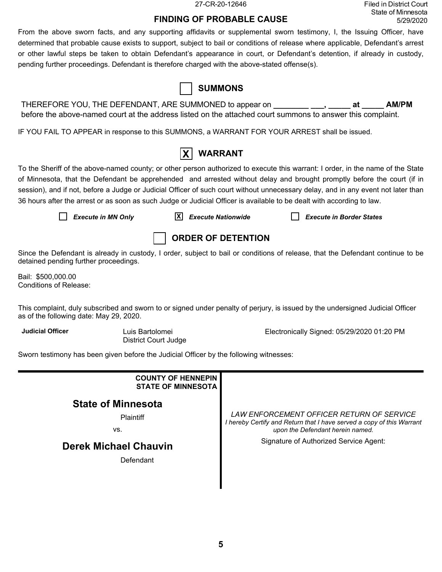27-CR-20-12646 Filed in District Court State of Minnesota 5/29/2020

### **FINDING OF PROBABLE CAUSE**

From the above sworn facts, and any supporting affidavits or supplemental sworn testimony, I, the Issuing Officer, have determined that probable cause exists to support, subject to bail or conditions of release where applicable, Defendant's arrest or other lawful steps be taken to obtain Defendant's appearance in court, or Defendant's detention, if already in custody, pending further proceedings. Defendant is therefore charged with the above-stated offense(s).

|                                                                                                                                                                                                                                                                                                                                                                                                                                                                                                                           |                                                        | <b>SUMMONS</b>            |                                            |                                 |              |
|---------------------------------------------------------------------------------------------------------------------------------------------------------------------------------------------------------------------------------------------------------------------------------------------------------------------------------------------------------------------------------------------------------------------------------------------------------------------------------------------------------------------------|--------------------------------------------------------|---------------------------|--------------------------------------------|---------------------------------|--------------|
| THEREFORE YOU, THE DEFENDANT, ARE SUMMONED to appear on<br>before the above-named court at the address listed on the attached court summons to answer this complaint.                                                                                                                                                                                                                                                                                                                                                     |                                                        |                           |                                            | at                              | <b>AM/PM</b> |
| IF YOU FAIL TO APPEAR in response to this SUMMONS, a WARRANT FOR YOUR ARREST shall be issued.                                                                                                                                                                                                                                                                                                                                                                                                                             |                                                        |                           |                                            |                                 |              |
|                                                                                                                                                                                                                                                                                                                                                                                                                                                                                                                           |                                                        | <b>WARRANT</b>            |                                            |                                 |              |
| To the Sheriff of the above-named county; or other person authorized to execute this warrant: I order, in the name of the State<br>of Minnesota, that the Defendant be apprehended and arrested without delay and brought promptly before the court (if in<br>session), and if not, before a Judge or Judicial Officer of such court without unnecessary delay, and in any event not later than<br>36 hours after the arrest or as soon as such Judge or Judicial Officer is available to be dealt with according to law. |                                                        |                           |                                            |                                 |              |
| <b>Execute in MN Only</b>                                                                                                                                                                                                                                                                                                                                                                                                                                                                                                 | X                                                      | <b>Execute Nationwide</b> |                                            | <b>Execute in Border States</b> |              |
|                                                                                                                                                                                                                                                                                                                                                                                                                                                                                                                           |                                                        | <b>ORDER OF DETENTION</b> |                                            |                                 |              |
| Since the Defendant is already in custody, I order, subject to bail or conditions of release, that the Defendant continue to be<br>detained pending further proceedings.                                                                                                                                                                                                                                                                                                                                                  |                                                        |                           |                                            |                                 |              |
| Bail: \$500,000.00<br><b>Conditions of Release:</b>                                                                                                                                                                                                                                                                                                                                                                                                                                                                       |                                                        |                           |                                            |                                 |              |
| This complaint, duly subscribed and sworn to or signed under penalty of perjury, is issued by the undersigned Judicial Officer<br>as of the following date: May 29, 2020.                                                                                                                                                                                                                                                                                                                                                 |                                                        |                           |                                            |                                 |              |
| <b>Judicial Officer</b>                                                                                                                                                                                                                                                                                                                                                                                                                                                                                                   | Luis Bartolomei<br><b>District Court Judge</b>         |                           | Electronically Signed: 05/29/2020 01:20 PM |                                 |              |
| Sworn testimony has been given before the Judicial Officer by the following witnesses:                                                                                                                                                                                                                                                                                                                                                                                                                                    |                                                        |                           |                                            |                                 |              |
|                                                                                                                                                                                                                                                                                                                                                                                                                                                                                                                           | <b>COUNTY OF HENNEPIN</b><br><b>STATE OF MINNESOTA</b> |                           |                                            |                                 |              |

### **State of Minnesota**

**Plaintiff** 

vs.

### **Derek Michael Chauvin**

**Defendant** 

*LAW ENFORCEMENT OFFICER RETURN OF SERVICE I hereby Certify and Return that I have served a copy of this Warrant upon the Defendant herein named.*

Signature of Authorized Service Agent:

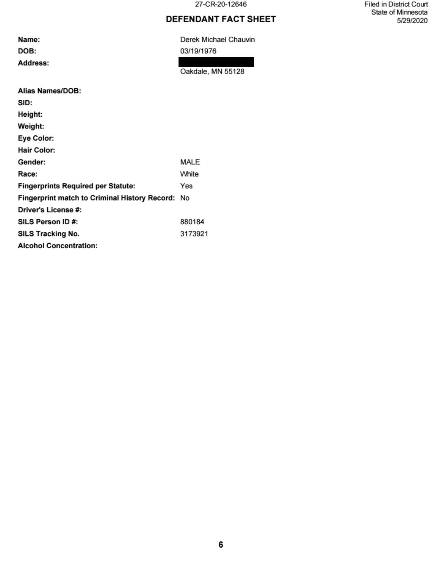27-CR-20-12646

## **DEFENDANT FACT SHEET**

Name:

DOB:

Address:

Derek Michael Chauvin 03/19/1976

Oakdale, MN 55128

| Alias Names/DOB:                                     |         |
|------------------------------------------------------|---------|
| SID:                                                 |         |
| Height:                                              |         |
| Weight:                                              |         |
| Eye Color:                                           |         |
| <b>Hair Color:</b>                                   |         |
| Gender:                                              | MALE    |
| Race:                                                | White   |
| <b>Fingerprints Required per Statute:</b>            | Yes     |
| <b>Fingerprint match to Criminal History Record:</b> | No      |
| Driver's License #:                                  |         |
| SILS Person ID#:                                     | 880184  |
| SILS Tracking No.                                    | 3173921 |
| <b>Alcohol Concentration:</b>                        |         |

Filed in District Court State of Minnesota 5/29/2020

6